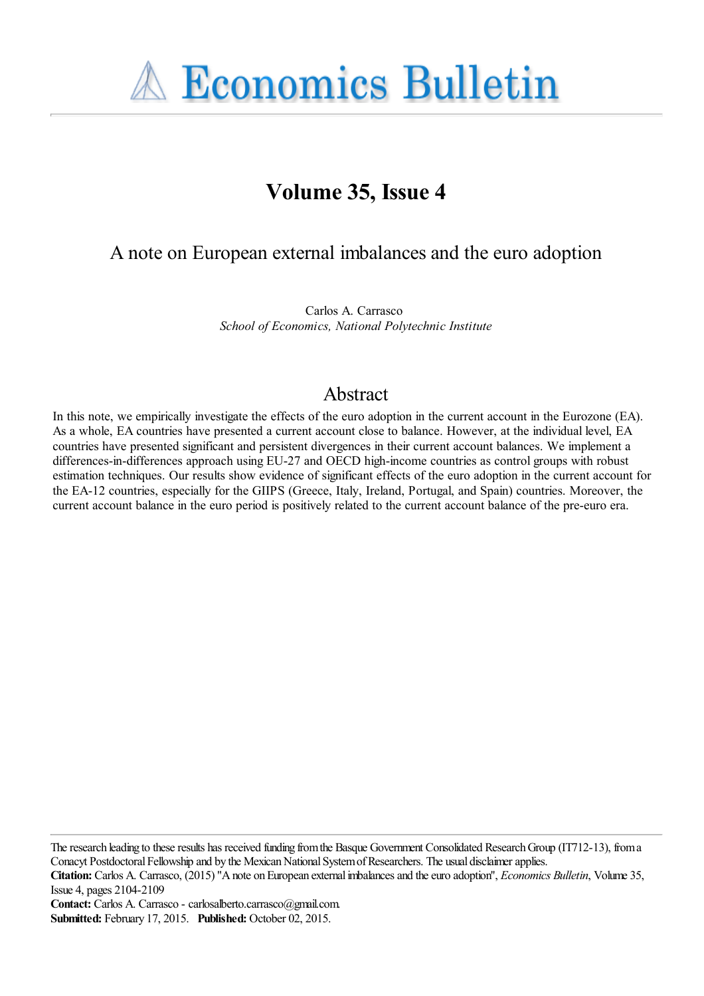**A Economics Bulletin** 

# **Volume 35, Issue 4**

# A note on European external imbalances and the euro adoption

Carlos A. Carrasco *School of Economics, National Polytechnic Institute*

# Abstract

In this note, we empirically investigate the effects of the euro adoption in the current account in the Eurozone (EA). As a whole, EA countries have presented a current account close to balance. However, at the individual level, EA countries have presented significant and persistent divergences in their current account balances. We implement a differences-in-differences approach using EU-27 and OECD high-income countries as control groups with robust estimation techniques. Our results show evidence of significant effects of the euro adoption in the current account for the EA-12 countries, especially for the GIIPS (Greece, Italy, Ireland, Portugal, and Spain) countries. Moreover, the current account balance in the euro period is positively related to the current account balance of the pre-euro era.

The research leading to these results has received funding from the Basque Government Consolidated Research Group (IT712-13), from a Conacyt Postdoctoral Fellowship and by the Mexican National System of Researchers. The usual disclaimer applies.

**Citation:** Carlos A. Carrasco, (2015) ''A note on European external imbalances and the euro adoption'', *Economics Bulletin*, Volume 35, Issue 4, pages 2104-2109

**Contact:** Carlos A. Carrasco - carlosalberto.carrasco@gmail.com. **Submitted:** February 17, 2015. **Published:** October 02, 2015.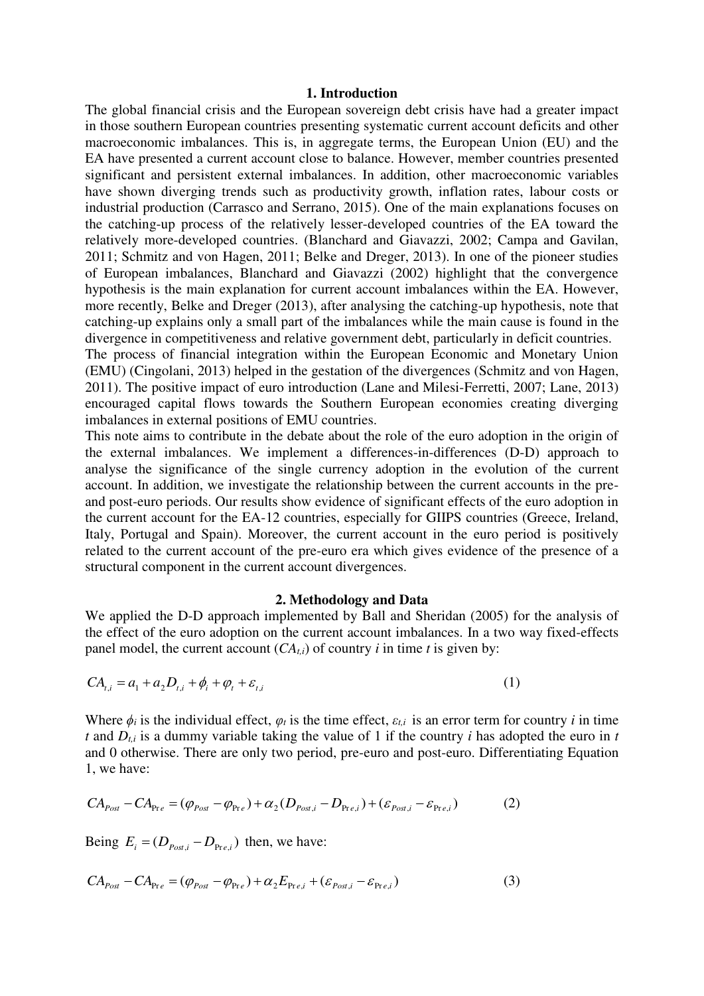## **1. Introduction**

The global financial crisis and the European sovereign debt crisis have had a greater impact in those southern European countries presenting systematic current account deficits and other macroeconomic imbalances. This is, in aggregate terms, the European Union (EU) and the EA have presented a current account close to balance. However, member countries presented significant and persistent external imbalances. In addition, other macroeconomic variables have shown diverging trends such as productivity growth, inflation rates, labour costs or industrial production (Carrasco and Serrano, 2015). One of the main explanations focuses on the catching-up process of the relatively lesser-developed countries of the EA toward the relatively more-developed countries. (Blanchard and Giavazzi, 2002; Campa and Gavilan, 2011; Schmitz and von Hagen, 2011; Belke and Dreger, 2013). In one of the pioneer studies of European imbalances, Blanchard and Giavazzi (2002) highlight that the convergence hypothesis is the main explanation for current account imbalances within the EA. However, more recently, Belke and Dreger (2013), after analysing the catching-up hypothesis, note that catching-up explains only a small part of the imbalances while the main cause is found in the divergence in competitiveness and relative government debt, particularly in deficit countries.

The process of financial integration within the European Economic and Monetary Union (EMU) (Cingolani, 2013) helped in the gestation of the divergences (Schmitz and von Hagen, 2011). The positive impact of euro introduction (Lane and Milesi-Ferretti, 2007; Lane, 2013) encouraged capital flows towards the Southern European economies creating diverging imbalances in external positions of EMU countries.

This note aims to contribute in the debate about the role of the euro adoption in the origin of the external imbalances. We implement a differences-in-differences (D-D) approach to analyse the significance of the single currency adoption in the evolution of the current account. In addition, we investigate the relationship between the current accounts in the preand post-euro periods. Our results show evidence of significant effects of the euro adoption in the current account for the EA-12 countries, especially for GIIPS countries (Greece, Ireland, Italy, Portugal and Spain). Moreover, the current account in the euro period is positively related to the current account of the pre-euro era which gives evidence of the presence of a structural component in the current account divergences.

#### **2. Methodology and Data**

We applied the D-D approach implemented by Ball and Sheridan (2005) for the analysis of the effect of the euro adoption on the current account imbalances. In a two way fixed-effects panel model, the current account  $(CA_{t,i})$  of country *i* in time *t* is given by:

$$
CA_{t,i} = a_1 + a_2D_{t,i} + \phi_i + \varphi_t + \varepsilon_{t,i}
$$
 (1)

Where  $\phi_i$  is the individual effect,  $\phi_t$  is the time effect,  $\varepsilon_{t,i}$  is an error term for country *i* in time *t* and  $D_{t,i}$  is a dummy variable taking the value of 1 if the country *i* has adopted the euro in *t* and 0 otherwise. There are only two period, pre-euro and post-euro. Differentiating Equation 1, we have:

$$
CA_{Post} - CA_{Pre} = (\varphi_{Post} - \varphi_{Pre}) + \alpha_2 (D_{Post,i} - D_{Pre,i}) + (\varepsilon_{Post,i} - \varepsilon_{Pre,i})
$$
 (2)

Being  $E_i = (D_{Post,i} - D_{Pre,i})$  then, we have:

$$
CA_{Post} - CA_{Pre} = (\varphi_{Post} - \varphi_{Pre}) + \alpha_2 E_{Pre,i} + (\varepsilon_{Post,i} - \varepsilon_{Pre,i})
$$
\n(3)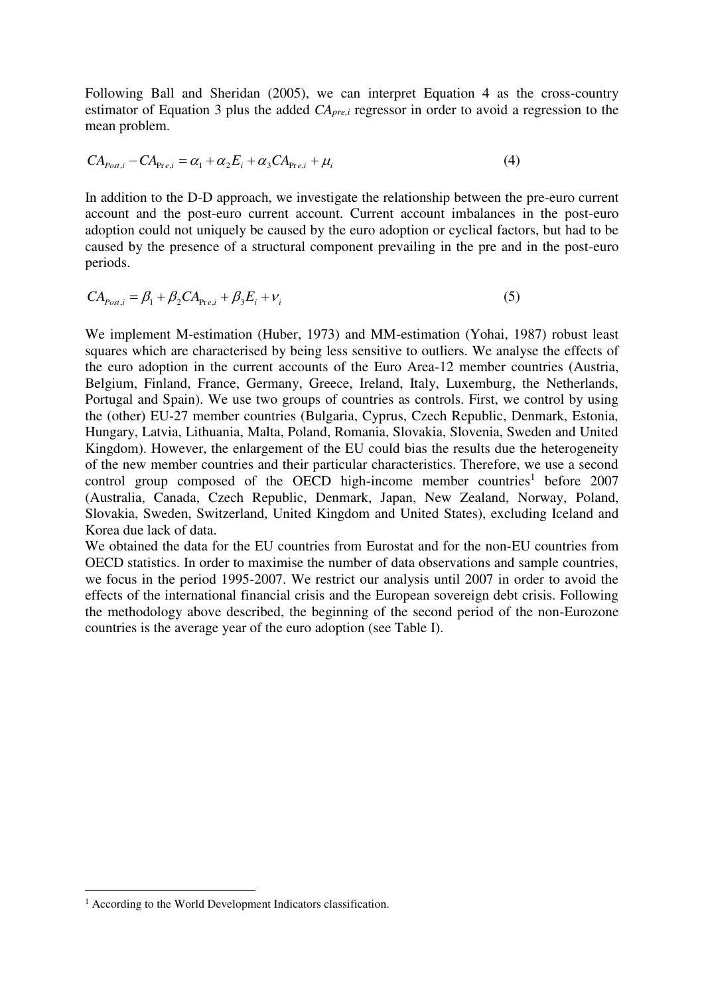Following Ball and Sheridan (2005), we can interpret Equation 4 as the cross-country estimator of Equation 3 plus the added *CApre,i* regressor in order to avoid a regression to the mean problem.

$$
CA_{Post,i} - CA_{Pre,i} = \alpha_1 + \alpha_2 E_i + \alpha_3 CA_{Pre,i} + \mu_i
$$
\n
$$
\tag{4}
$$

In addition to the D-D approach, we investigate the relationship between the pre-euro current account and the post-euro current account. Current account imbalances in the post-euro adoption could not uniquely be caused by the euro adoption or cyclical factors, but had to be caused by the presence of a structural component prevailing in the pre and in the post-euro periods.

$$
CA_{Post,i} = \beta_1 + \beta_2 CA_{Pre,i} + \beta_3 E_i + \nu_i
$$
\n
$$
(5)
$$

We implement M-estimation (Huber, 1973) and MM-estimation (Yohai, 1987) robust least squares which are characterised by being less sensitive to outliers. We analyse the effects of the euro adoption in the current accounts of the Euro Area-12 member countries (Austria, Belgium, Finland, France, Germany, Greece, Ireland, Italy, Luxemburg, the Netherlands, Portugal and Spain). We use two groups of countries as controls. First, we control by using the (other) EU-27 member countries (Bulgaria, Cyprus, Czech Republic, Denmark, Estonia, Hungary, Latvia, Lithuania, Malta, Poland, Romania, Slovakia, Slovenia, Sweden and United Kingdom). However, the enlargement of the EU could bias the results due the heterogeneity of the new member countries and their particular characteristics. Therefore, we use a second control group composed of the OECD high-income member countries<sup>1</sup> before 2007 (Australia, Canada, Czech Republic, Denmark, Japan, New Zealand, Norway, Poland, Slovakia, Sweden, Switzerland, United Kingdom and United States), excluding Iceland and Korea due lack of data.

We obtained the data for the EU countries from Eurostat and for the non-EU countries from OECD statistics. In order to maximise the number of data observations and sample countries, we focus in the period 1995-2007. We restrict our analysis until 2007 in order to avoid the effects of the international financial crisis and the European sovereign debt crisis. Following the methodology above described, the beginning of the second period of the non-Eurozone countries is the average year of the euro adoption (see Table I).

 $\overline{a}$ 

<sup>&</sup>lt;sup>1</sup> According to the World Development Indicators classification.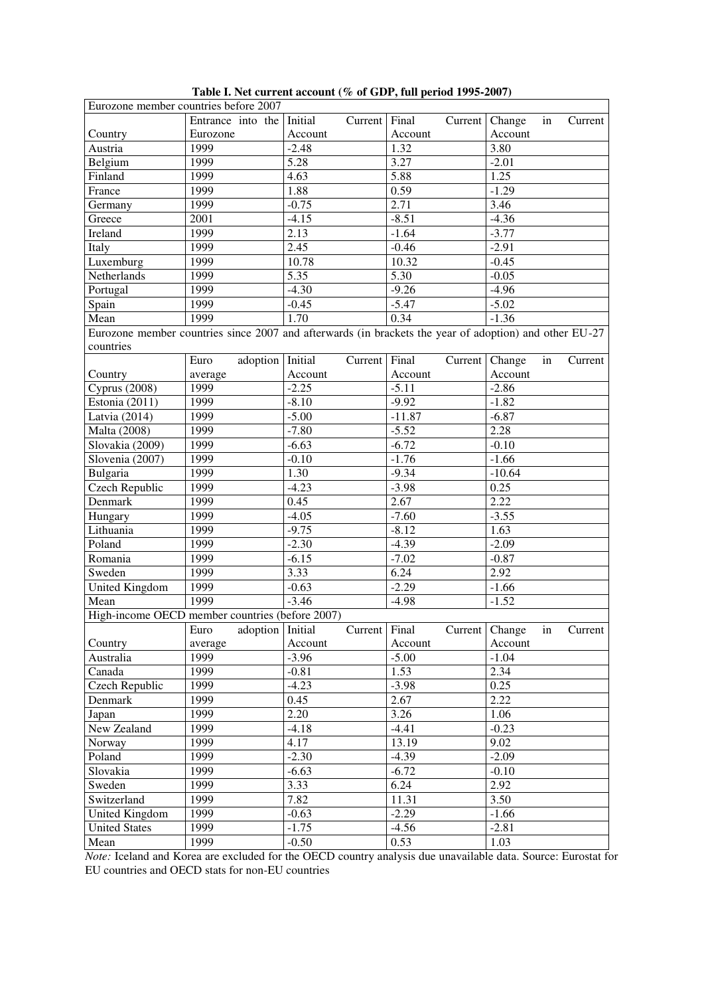| Eurozone member countries before 2007 |                                                                                                        |         |                  |         |                             |    |         |  |  |
|---------------------------------------|--------------------------------------------------------------------------------------------------------|---------|------------------|---------|-----------------------------|----|---------|--|--|
|                                       | Entrance into the Initial                                                                              | Current | Final            | Current | Change                      | in | Current |  |  |
| Country                               | Eurozone                                                                                               | Account | Account          |         | Account                     |    |         |  |  |
| Austria                               | 1999                                                                                                   | $-2.48$ | 1.32             |         | 3.80                        |    |         |  |  |
| Belgium                               | 1999                                                                                                   | 5.28    | 3.27             |         | $-2.01$                     |    |         |  |  |
| Finland                               | 1999                                                                                                   | 4.63    | 5.88             |         | 1.25                        |    |         |  |  |
| France                                | 1999                                                                                                   | 1.88    | 0.59             |         | $-1.29$                     |    |         |  |  |
| Germany                               | 1999                                                                                                   | $-0.75$ | 2.71             |         | 3.46                        |    |         |  |  |
| Greece                                | 2001                                                                                                   | $-4.15$ | $-8.51$          |         | $-4.36$                     |    |         |  |  |
| Ireland                               | 1999                                                                                                   | 2.13    | $-1.64$          |         | $-3.77$                     |    |         |  |  |
| Italy                                 | 1999                                                                                                   | 2.45    | $-0.46$          |         | $-2.91$                     |    |         |  |  |
| Luxemburg                             | 1999                                                                                                   | 10.78   | 10.32            |         | $-0.45$                     |    |         |  |  |
| Netherlands                           | 1999                                                                                                   | 5.35    | 5.30             |         | $-0.05$                     |    |         |  |  |
| Portugal                              | 1999                                                                                                   | $-4.30$ | $-9.26$          |         | $-4.96$                     |    |         |  |  |
| Spain                                 | 1999                                                                                                   | $-0.45$ | $-5.47$          |         | $-5.02$                     |    |         |  |  |
| Mean                                  | 1999                                                                                                   | 1.70    | 0.34             |         | $-1.36$                     |    |         |  |  |
|                                       | Eurozone member countries since 2007 and afterwards (in brackets the year of adoption) and other EU-27 |         |                  |         |                             |    |         |  |  |
| countries                             |                                                                                                        |         |                  |         |                             |    |         |  |  |
|                                       | adoption Initial<br>Euro                                                                               |         | Final<br>Current | Current | Change                      | in | Current |  |  |
| Country                               | average                                                                                                | Account | Account          |         | Account                     |    |         |  |  |
| Cyprus $(2008)$                       | 1999                                                                                                   | $-2.25$ | $-5.11$          |         | $-2.86$                     |    |         |  |  |
| Estonia $(2011)$                      | 1999                                                                                                   | $-8.10$ | $-9.92$          |         | $-1.82$                     |    |         |  |  |
| Latvia $(2014)$                       | 1999                                                                                                   | $-5.00$ | $-11.87$         |         | $-6.87$                     |    |         |  |  |
| <b>Malta</b> (2008)                   | 1999                                                                                                   | $-7.80$ | $-5.52$          |         | 2.28                        |    |         |  |  |
| Slovakia (2009)                       | 1999                                                                                                   | $-6.63$ | $-6.72$          |         | $-0.10$                     |    |         |  |  |
| Slovenia (2007)                       | 1999                                                                                                   | $-0.10$ | $-1.76$          |         | $-1.66$                     |    |         |  |  |
| Bulgaria                              | 1999                                                                                                   | 1.30    | $-9.34$          |         | $-10.64$                    |    |         |  |  |
| Czech Republic                        | 1999                                                                                                   | $-4.23$ | $-3.98$          |         | 0.25                        |    |         |  |  |
| Denmark                               | 1999                                                                                                   | 0.45    | 2.67             |         | 2.22                        |    |         |  |  |
| Hungary                               | 1999                                                                                                   | $-4.05$ | $-7.60$          |         | $-3.55$                     |    |         |  |  |
| Lithuania                             | 1999                                                                                                   | $-9.75$ | $-8.12$          |         | 1.63                        |    |         |  |  |
| Poland                                | 1999                                                                                                   | $-2.30$ | $-4.39$          |         | $-2.09$                     |    |         |  |  |
| Romania                               | 1999                                                                                                   | $-6.15$ | $-7.02$          |         | $-0.87$                     |    |         |  |  |
| Sweden                                | 1999                                                                                                   | 3.33    | 6.24             |         | 2.92                        |    |         |  |  |
| <b>United Kingdom</b>                 | 1999                                                                                                   | $-0.63$ | $-2.29$          |         | $-1.66$                     |    |         |  |  |
| Mean                                  | 1999                                                                                                   | $-3.46$ | $-4.98$          |         | $-1.52$                     |    |         |  |  |
|                                       | High-income OECD member countries (before 2007)                                                        |         |                  |         |                             |    |         |  |  |
|                                       | Euro adoption Initial                                                                                  |         | Current Final    |         | Current   Change in Current |    |         |  |  |
| Country                               | average                                                                                                | Account | Account          |         | Account                     |    |         |  |  |
| Australia                             | 1999                                                                                                   | $-3.96$ | $-5.00$          |         | $-1.04$                     |    |         |  |  |
| Canada                                | 1999                                                                                                   | $-0.81$ | 1.53             |         | 2.34                        |    |         |  |  |
| Czech Republic                        | 1999                                                                                                   | $-4.23$ | $-3.98$          |         | 0.25                        |    |         |  |  |
| Denmark                               | 1999                                                                                                   | 0.45    | 2.67             |         | 2.22                        |    |         |  |  |
| Japan                                 | 1999                                                                                                   | 2.20    | 3.26             |         | 1.06                        |    |         |  |  |
| New Zealand                           | 1999                                                                                                   | $-4.18$ | $-4.41$          |         | $-0.23$                     |    |         |  |  |
| Norway                                | 1999                                                                                                   | 4.17    | 13.19            |         | 9.02                        |    |         |  |  |
| Poland                                | 1999                                                                                                   | $-2.30$ | $-4.39$          |         | $-2.09$                     |    |         |  |  |
| Slovakia                              | 1999                                                                                                   | $-6.63$ | $-6.72$          |         | $-0.10$                     |    |         |  |  |
| Sweden                                | 1999                                                                                                   | 3.33    | 6.24             |         | 2.92                        |    |         |  |  |
| Switzerland                           | 1999                                                                                                   | 7.82    | 11.31            |         | 3.50                        |    |         |  |  |
| United Kingdom                        | 1999                                                                                                   | $-0.63$ | $-2.29$          |         | $-1.66$                     |    |         |  |  |
| <b>United States</b>                  | 1999                                                                                                   | $-1.75$ | $-4.56$          |         | $-2.81$                     |    |         |  |  |
| Mean                                  | 1999                                                                                                   | $-0.50$ | 0.53             |         | 1.03                        |    |         |  |  |

**Table I. Net current account (% of GDP, full period 1995-2007)** 

*Note:* Iceland and Korea are excluded for the OECD country analysis due unavailable data. Source: Eurostat for EU countries and OECD stats for non-EU countries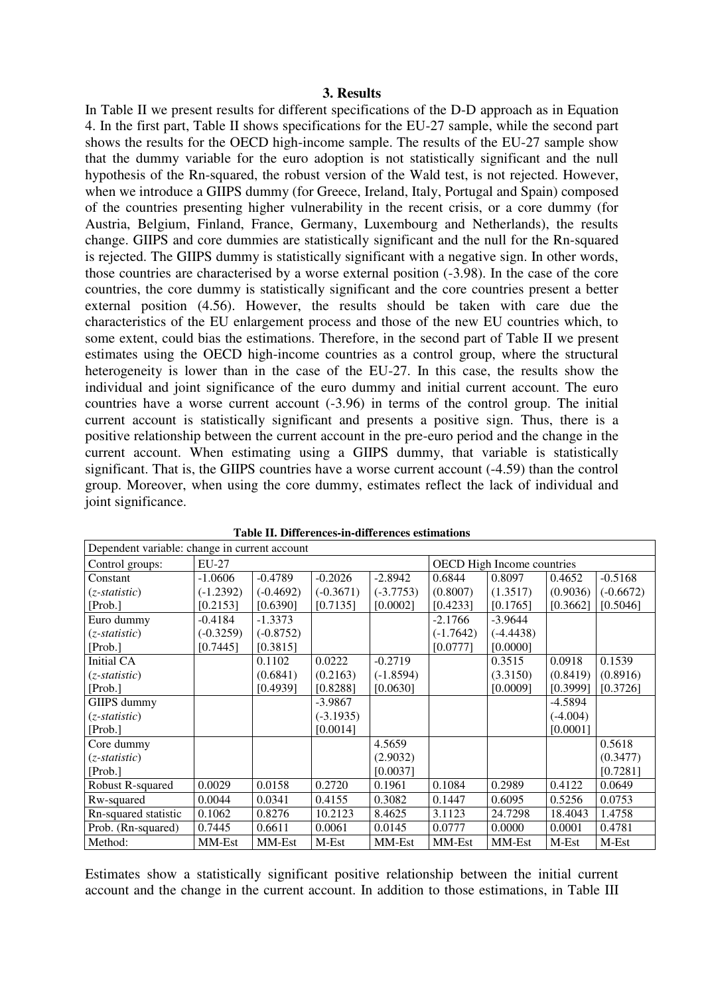### **3. Results**

In Table II we present results for different specifications of the D-D approach as in Equation 4. In the first part, Table II shows specifications for the EU-27 sample, while the second part shows the results for the OECD high-income sample. The results of the EU-27 sample show that the dummy variable for the euro adoption is not statistically significant and the null hypothesis of the Rn-squared, the robust version of the Wald test, is not rejected. However, when we introduce a GIIPS dummy (for Greece, Ireland, Italy, Portugal and Spain) composed of the countries presenting higher vulnerability in the recent crisis, or a core dummy (for Austria, Belgium, Finland, France, Germany, Luxembourg and Netherlands), the results change. GIIPS and core dummies are statistically significant and the null for the Rn-squared is rejected. The GIIPS dummy is statistically significant with a negative sign. In other words, those countries are characterised by a worse external position (-3.98). In the case of the core countries, the core dummy is statistically significant and the core countries present a better external position (4.56). However, the results should be taken with care due the characteristics of the EU enlargement process and those of the new EU countries which, to some extent, could bias the estimations. Therefore, in the second part of Table II we present estimates using the OECD high-income countries as a control group, where the structural heterogeneity is lower than in the case of the EU-27. In this case, the results show the individual and joint significance of the euro dummy and initial current account. The euro countries have a worse current account (-3.96) in terms of the control group. The initial current account is statistically significant and presents a positive sign. Thus, there is a positive relationship between the current account in the pre-euro period and the change in the current account. When estimating using a GIIPS dummy, that variable is statistically significant. That is, the GIIPS countries have a worse current account (-4.59) than the control group. Moreover, when using the core dummy, estimates reflect the lack of individual and joint significance.

| Dependent variable: change in current account |             |             |             |             |                            |             |            |             |  |
|-----------------------------------------------|-------------|-------------|-------------|-------------|----------------------------|-------------|------------|-------------|--|
| Control groups:                               | EU-27       |             |             |             | OECD High Income countries |             |            |             |  |
| Constant                                      | $-1.0606$   | $-0.4789$   | $-0.2026$   | $-2.8942$   | 0.6844                     | 0.8097      | 0.4652     | $-0.5168$   |  |
| $(z-statistic)$                               | $(-1.2392)$ | $(-0.4692)$ | $(-0.3671)$ | $(-3.7753)$ | (0.8007)                   | (1.3517)    | (0.9036)   | $(-0.6672)$ |  |
| [Prob.]                                       | [0.2153]    | [0.6390]    | [0.7135]    | [0.0002]    | [0.4233]                   | [0.1765]    | [0.3662]   | [0.5046]    |  |
| Euro dummy                                    | $-0.4184$   | $-1.3373$   |             |             | -2.1766                    | $-3.9644$   |            |             |  |
| $(z-statistic)$                               | $(-0.3259)$ | $(-0.8752)$ |             |             | $(-1.7642)$                | $(-4.4438)$ |            |             |  |
| [Prob.]                                       | [0.7445]    | [0.3815]    |             |             | [0.0777]                   | [0.0000]    |            |             |  |
| <b>Initial CA</b>                             |             | 0.1102      | 0.0222      | $-0.2719$   |                            | 0.3515      | 0.0918     | 0.1539      |  |
| $(z-statistic)$                               |             | (0.6841)    | (0.2163)    | $(-1.8594)$ |                            | (3.3150)    | (0.8419)   | (0.8916)    |  |
| [Prob.]                                       |             | [0.4939]    | [0.8288]    | [0.0630]    |                            | [0.0009]    | [0.3999]   | [0.3726]    |  |
| <b>GIIPS</b> dummy                            |             |             | $-3.9867$   |             |                            |             | $-4.5894$  |             |  |
| $(z-statistic)$                               |             |             | $(-3.1935)$ |             |                            |             | $(-4.004)$ |             |  |
| [Prob.]                                       |             |             | [0.0014]    |             |                            |             | [0.0001]   |             |  |
| Core dummy                                    |             |             |             | 4.5659      |                            |             |            | 0.5618      |  |
| $(z-statistic)$                               |             |             |             | (2.9032)    |                            |             |            | (0.3477)    |  |
| [Prob.]                                       |             |             |             | [0.0037]    |                            |             |            | [0.7281]    |  |
| Robust R-squared                              | 0.0029      | 0.0158      | 0.2720      | 0.1961      | 0.1084                     | 0.2989      | 0.4122     | 0.0649      |  |
| Rw-squared                                    | 0.0044      | 0.0341      | 0.4155      | 0.3082      | 0.1447                     | 0.6095      | 0.5256     | 0.0753      |  |
| Rn-squared statistic                          | 0.1062      | 0.8276      | 10.2123     | 8.4625      | 3.1123                     | 24.7298     | 18.4043    | 1.4758      |  |
| Prob. (Rn-squared)                            | 0.7445      | 0.6611      | 0.0061      | 0.0145      | 0.0777                     | 0.0000      | 0.0001     | 0.4781      |  |
| Method:                                       | MM-Est      | MM-Est      | M-Est       | MM-Est      | MM-Est                     | MM-Est      | M-Est      | M-Est       |  |

**Table II. Differences-in-differences estimations** 

Estimates show a statistically significant positive relationship between the initial current account and the change in the current account. In addition to those estimations, in Table III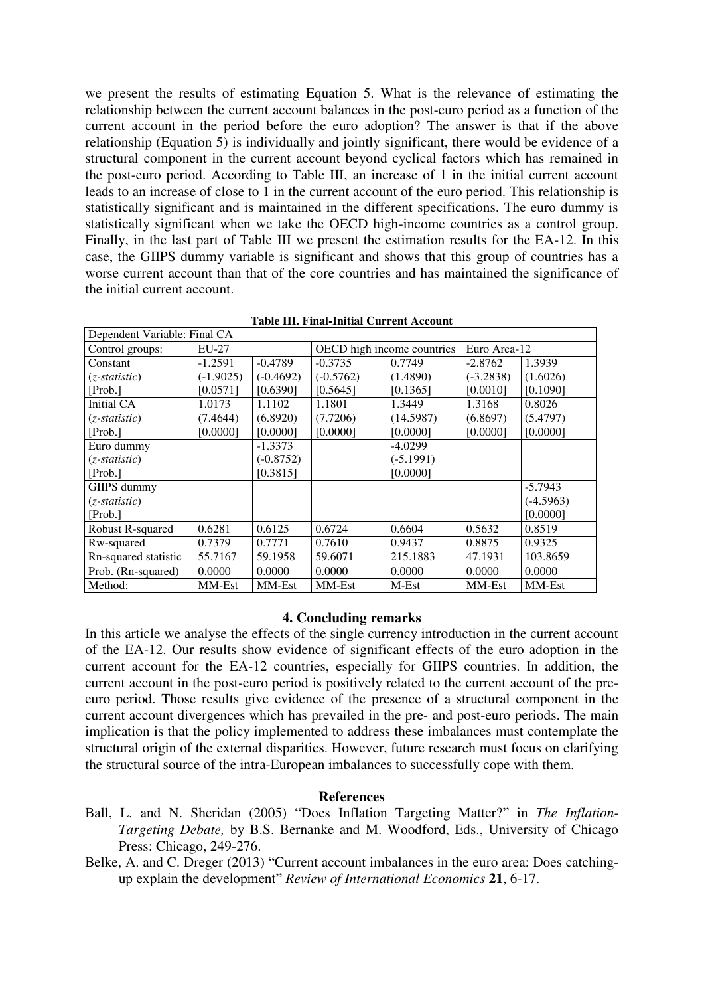we present the results of estimating Equation 5. What is the relevance of estimating the relationship between the current account balances in the post-euro period as a function of the current account in the period before the euro adoption? The answer is that if the above relationship (Equation 5) is individually and jointly significant, there would be evidence of a structural component in the current account beyond cyclical factors which has remained in the post-euro period. According to Table III, an increase of 1 in the initial current account leads to an increase of close to 1 in the current account of the euro period. This relationship is statistically significant and is maintained in the different specifications. The euro dummy is statistically significant when we take the OECD high-income countries as a control group. Finally, in the last part of Table III we present the estimation results for the EA-12. In this case, the GIIPS dummy variable is significant and shows that this group of countries has a worse current account than that of the core countries and has maintained the significance of the initial current account.

| Dependent Variable: Final CA |             |             |                            |             |              |             |  |
|------------------------------|-------------|-------------|----------------------------|-------------|--------------|-------------|--|
| Control groups:              | $EU-27$     |             | OECD high income countries |             | Euro Area-12 |             |  |
| Constant                     | $-1.2591$   | $-0.4789$   | $-0.3735$                  | 0.7749      | $-2.8762$    | 1.3939      |  |
| $(z-statistic)$              | $(-1.9025)$ | $(-0.4692)$ | $(-0.5762)$                | (1.4890)    | $(-3.2838)$  | (1.6026)    |  |
| [Prob.]                      | [0.0571]    | [0.6390]    | [0.5645]                   | [0.1365]    | [0.0010]     | [0.1090]    |  |
| Initial CA                   | 1.0173      | 1.1102      | 1.1801                     | 1.3449      | 1.3168       | 0.8026      |  |
| $(z-statistic)$              | (7.4644)    | (6.8920)    | (7.7206)                   | (14.5987)   | (6.8697)     | (5.4797)    |  |
| [Prob.]                      | [0.0000]    | [0.0000]    | [0.0000]                   | [0.0000]    | [0.0000]     | [0.0000]    |  |
| Euro dummy                   |             | $-1.3373$   |                            | $-4.0299$   |              |             |  |
| $(z-statistic)$              |             | $(-0.8752)$ |                            | $(-5.1991)$ |              |             |  |
| [Prob.]                      |             | [0.3815]    |                            | [0.0000]    |              |             |  |
| GIIPS dummy                  |             |             |                            |             |              | $-5.7943$   |  |
| $(z-statistic)$              |             |             |                            |             |              | $(-4.5963)$ |  |
| [Prob.]                      |             |             |                            |             |              | [0.0000]    |  |
| Robust R-squared             | 0.6281      | 0.6125      | 0.6724                     | 0.6604      | 0.5632       | 0.8519      |  |
| Rw-squared                   | 0.7379      | 0.7771      | 0.7610                     | 0.9437      | 0.8875       | 0.9325      |  |
| Rn-squared statistic         | 55.7167     | 59.1958     | 59.6071                    | 215.1883    | 47.1931      | 103.8659    |  |
| Prob. (Rn-squared)           | 0.0000      | 0.0000      | 0.0000                     | 0.0000      | 0.0000       | 0.0000      |  |
| Method:                      | MM-Est      | MM-Est      | MM-Est                     | M-Est       | MM-Est       | MM-Est      |  |

**Table III. Final-Initial Current Account** 

#### **4. Concluding remarks**

In this article we analyse the effects of the single currency introduction in the current account of the EA-12. Our results show evidence of significant effects of the euro adoption in the current account for the EA-12 countries, especially for GIIPS countries. In addition, the current account in the post-euro period is positively related to the current account of the preeuro period. Those results give evidence of the presence of a structural component in the current account divergences which has prevailed in the pre- and post-euro periods. The main implication is that the policy implemented to address these imbalances must contemplate the structural origin of the external disparities. However, future research must focus on clarifying the structural source of the intra-European imbalances to successfully cope with them.

### **References**

- Ball, L. and N. Sheridan (2005) "Does Inflation Targeting Matter?" in *The Inflation-Targeting Debate,* by B.S. Bernanke and M. Woodford, Eds., University of Chicago Press: Chicago, 249-276.
- Belke, A. and C. Dreger (2013) "Current account imbalances in the euro area: Does catchingup explain the development" *Review of International Economics* **21**, 6-17.